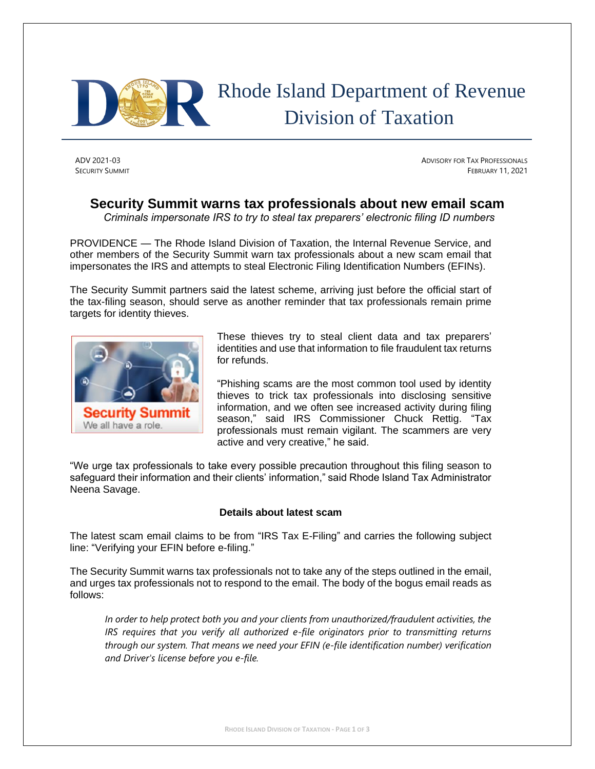

# Rhode Island Department of Revenue Division of Taxation

ADV 2021-03 ADVISORY FOR TAX PROFESSIONALS **SECURITY SUMMIT** FEBRUARY 11, 2021

## **Security Summit warns tax professionals about new email scam**

*Criminals impersonate IRS to try to steal tax preparers' electronic filing ID numbers*

PROVIDENCE — The Rhode Island Division of Taxation, the Internal Revenue Service, and other members of the Security Summit warn tax professionals about a new scam email that impersonates the IRS and attempts to steal Electronic Filing Identification Numbers (EFINs).

The Security Summit partners said the latest scheme, arriving just before the official start of the tax-filing season, should serve as another reminder that tax professionals remain prime targets for identity thieves.



These thieves try to steal client data and tax preparers' identities and use that information to file fraudulent tax returns for refunds.

"Phishing scams are the most common tool used by identity thieves to trick tax professionals into disclosing sensitive information, and we often see increased activity during filing season," said IRS Commissioner Chuck Rettig. "Tax professionals must remain vigilant. The scammers are very active and very creative," he said.

"We urge tax professionals to take every possible precaution throughout this filing season to safeguard their information and their clients' information," said Rhode Island Tax Administrator Neena Savage.

### **Details about latest scam**

The latest scam email claims to be from "IRS Tax E-Filing" and carries the following subject line: "Verifying your EFIN before e-filing."

The Security Summit warns tax professionals not to take any of the steps outlined in the email, and urges tax professionals not to respond to the email. The body of the bogus email reads as follows:

*In order to help protect both you and your clients from unauthorized/fraudulent activities, the IRS requires that you verify all authorized e-file originators prior to transmitting returns through our system. That means we need your EFIN (e-file identification number) verification and Driver's license before you e-file.*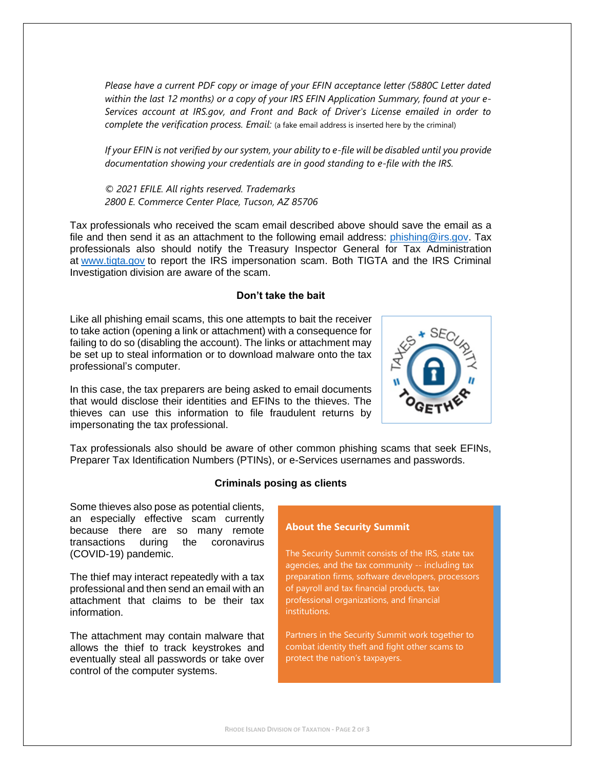*Please have a current PDF copy or image of your EFIN acceptance letter (5880C Letter dated within the last 12 months) or a copy of your IRS EFIN Application Summary, found at your e-Services account at IRS.gov, and Front and Back of Driver's License emailed in order to complete the verification process. Email:* (a fake email address is inserted here by the criminal)

*If your EFIN is not verified by our system, your ability to e-file will be disabled until you provide documentation showing your credentials are in good standing to e-file with the IRS.*

*© 2021 EFILE. All rights reserved. Trademarks 2800 E. Commerce Center Place, Tucson, AZ 85706*

Tax professionals who received the scam email described above should save the email as a file and then send it as an attachment to the following email address:  $phishing@irs.gov$ . Tax professionals also should notify the Treasury Inspector General for Tax Administration at [www.tigta.gov](http://www.treas.gov/tigta) to report the IRS impersonation scam. Both TIGTA and the IRS Criminal Investigation division are aware of the scam.

#### **Don't take the bait**

Like all phishing email scams, this one attempts to bait the receiver to take action (opening a link or attachment) with a consequence for failing to do so (disabling the account). The links or attachment may be set up to steal information or to download malware onto the tax professional's computer.

In this case, the tax preparers are being asked to email documents that would disclose their identities and EFINs to the thieves. The thieves can use this information to file fraudulent returns by impersonating the tax professional.



Tax professionals also should be aware of other common phishing scams that seek EFINs, Preparer Tax Identification Numbers (PTINs), or e-Services usernames and passwords.

#### **Criminals posing as clients**

Some thieves also pose as potential clients, an especially effective scam currently because there are so many remote transactions during the coronavirus (COVID-19) pandemic.

The thief may interact repeatedly with a tax professional and then send an email with an attachment that claims to be their tax information.

The attachment may contain malware that allows the thief to track keystrokes and eventually steal all passwords or take over control of the computer systems.

#### **About the Security Summit**

The Security Summit consists of the IRS, state tax agencies, and the tax community -- including tax preparation firms, software developers, processors of payroll and tax financial products, tax professional organizations, and financial institutions.

Partners in the Security Summit work together to combat identity theft and fight other scams to protect the nation's taxpayers.